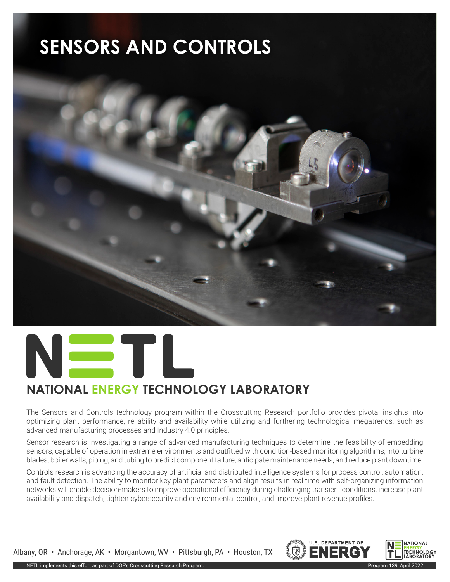# **SENSORS AND CONTROLS**





### **NATIONAL ENERGY TECHNOLOGY LABORATORY**

The Sensors and Controls technology program within the Crosscutting Research portfolio provides pivotal insights into optimizing plant performance, reliability and availability while utilizing and furthering technological megatrends, such as advanced manufacturing processes and Industry 4.0 principles.

Sensor research is investigating a range of advanced manufacturing techniques to determine the feasibility of embedding sensors, capable of operation in extreme environments and outfitted with condition-based monitoring algorithms, into turbine blades, boiler walls, piping, and tubing to predict component failure, anticipate maintenance needs, and reduce plant downtime.

Controls research is advancing the accuracy of artificial and distributed intelligence systems for process control, automation, and fault detection. The ability to monitor key plant parameters and align results in real time with self-organizing information networks will enable decision-makers to improve operational efficiency during challenging transient conditions, increase plant availability and dispatch, tighten cybersecurity and environmental control, and improve plant revenue profiles.